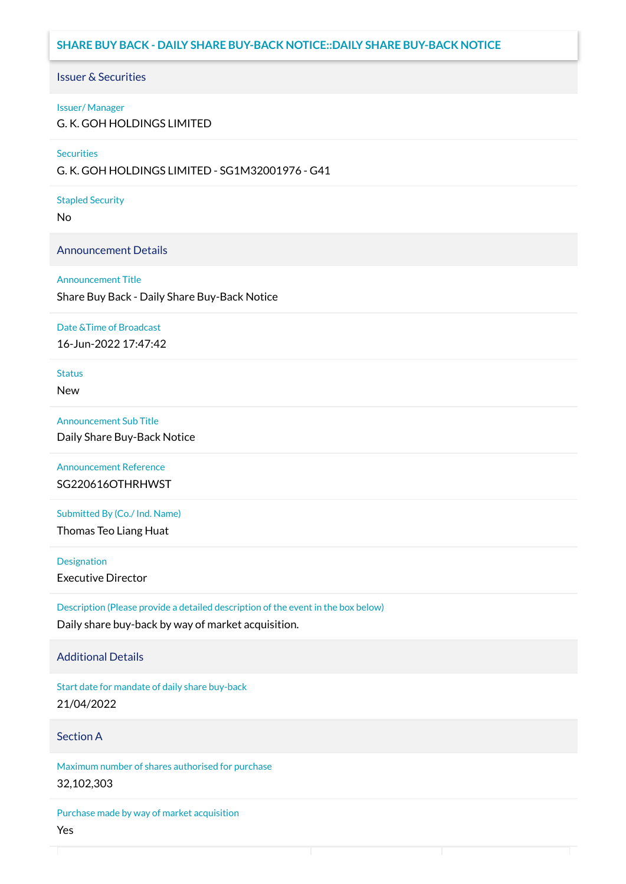# **SHARE BUY BACK - DAILY SHARE BUY-BACK NOTICE::DAILY SHARE BUY-BACK NOTICE**

### Issuer & Securities

#### Issuer/ Manager

G. K. GOH HOLDINGS LIMITED

#### **Securities**

G. K. GOH HOLDINGS LIMITED - SG1M32001976 - G41

#### Stapled Security

No

### Announcement Details

#### Announcement Title

Share Buy Back - Daily Share Buy-Back Notice

#### Date &Time of Broadcast

16-Jun-2022 17:47:42

# **Status**

New

## Announcement Sub Title

Daily Share Buy-Back Notice

# Announcement Reference SG220616OTHRHWST

Submitted By (Co./ Ind. Name)

Thomas Teo Liang Huat

**Designation** 

Executive Director

Description (Please provide a detailed description of the event in the box below) Daily share buy-back by way of market acquisition.

### Additional Details

Start date for mandate of daily share buy-back 21/04/2022

### Section A

Maximum number of shares authorised for purchase 32,102,303

Purchase made by way of market acquisition Yes